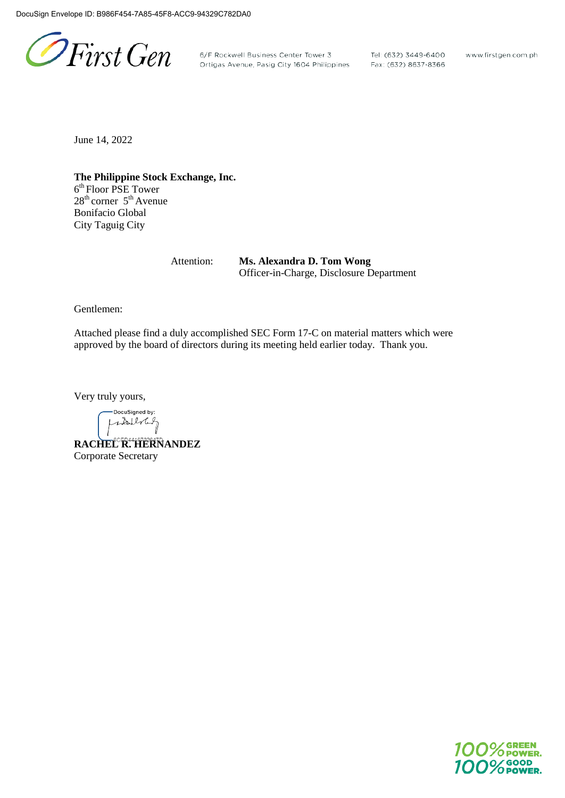PFirst Gen

6/F Rockwell Business Center Tower 3 Tel: (632) 3449-6400<br>Ortigas Avenue, Pasig City 1604 Philippines Fax: (632) 8637-8366

www.firstgen.com.ph

June 14, 2022

**The Philippine Stock Exchange, Inc.** 6<sup>th</sup> Floor PSE Tower  $28<sup>th</sup>$  corner  $5<sup>th</sup>$  Avenue Bonifacio Global City Taguig City

> Attention: **Ms. Alexandra D. Tom Wong** Officer-in-Charge, Disclosure Department

Gentlemen:

Attached please find a duly accomplished SEC Form 17-C on material matters which were approved by the board of directors during its meeting held earlier today. Thank you.

Very truly yours,

DocuSigned by: stallnet

**RACHEL R. HERNANDEZ** Corporate Secretary